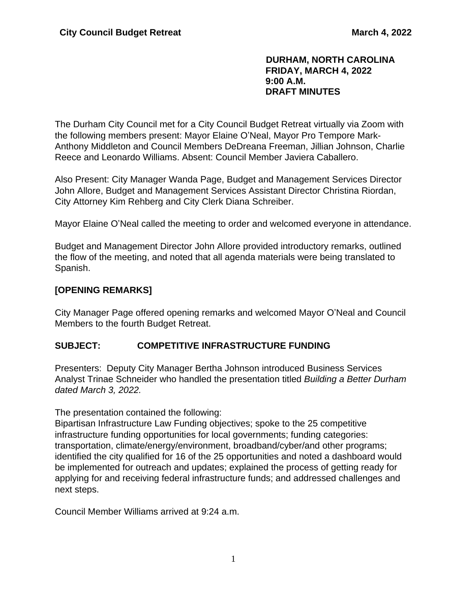#### **DURHAM, NORTH CAROLINA FRIDAY, MARCH 4, 2022 9:00 A.M. DRAFT MINUTES**

The Durham City Council met for a City Council Budget Retreat virtually via Zoom with the following members present: Mayor Elaine O'Neal, Mayor Pro Tempore Mark-Anthony Middleton and Council Members DeDreana Freeman, Jillian Johnson, Charlie Reece and Leonardo Williams. Absent: Council Member Javiera Caballero.

Also Present: City Manager Wanda Page, Budget and Management Services Director John Allore, Budget and Management Services Assistant Director Christina Riordan, City Attorney Kim Rehberg and City Clerk Diana Schreiber.

Mayor Elaine O'Neal called the meeting to order and welcomed everyone in attendance.

Budget and Management Director John Allore provided introductory remarks, outlined the flow of the meeting, and noted that all agenda materials were being translated to Spanish.

#### **[OPENING REMARKS]**

City Manager Page offered opening remarks and welcomed Mayor O'Neal and Council Members to the fourth Budget Retreat.

#### **SUBJECT: COMPETITIVE INFRASTRUCTURE FUNDING**

Presenters: Deputy City Manager Bertha Johnson introduced Business Services Analyst Trinae Schneider who handled the presentation titled *Building a Better Durham dated March 3, 2022.*

The presentation contained the following:

Bipartisan Infrastructure Law Funding objectives; spoke to the 25 competitive infrastructure funding opportunities for local governments; funding categories: transportation, climate/energy/environment, broadband/cyber/and other programs; identified the city qualified for 16 of the 25 opportunities and noted a dashboard would be implemented for outreach and updates; explained the process of getting ready for applying for and receiving federal infrastructure funds; and addressed challenges and next steps.

Council Member Williams arrived at 9:24 a.m.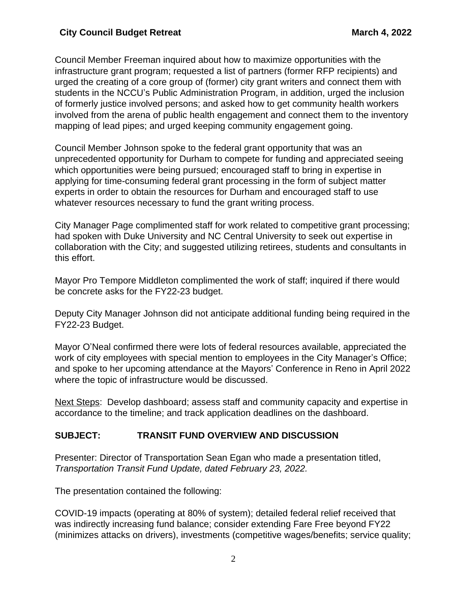Council Member Freeman inquired about how to maximize opportunities with the infrastructure grant program; requested a list of partners (former RFP recipients) and urged the creating of a core group of (former) city grant writers and connect them with students in the NCCU's Public Administration Program, in addition, urged the inclusion of formerly justice involved persons; and asked how to get community health workers involved from the arena of public health engagement and connect them to the inventory mapping of lead pipes; and urged keeping community engagement going.

Council Member Johnson spoke to the federal grant opportunity that was an unprecedented opportunity for Durham to compete for funding and appreciated seeing which opportunities were being pursued; encouraged staff to bring in expertise in applying for time-consuming federal grant processing in the form of subject matter experts in order to obtain the resources for Durham and encouraged staff to use whatever resources necessary to fund the grant writing process.

City Manager Page complimented staff for work related to competitive grant processing; had spoken with Duke University and NC Central University to seek out expertise in collaboration with the City; and suggested utilizing retirees, students and consultants in this effort.

Mayor Pro Tempore Middleton complimented the work of staff; inquired if there would be concrete asks for the FY22-23 budget.

Deputy City Manager Johnson did not anticipate additional funding being required in the FY22-23 Budget.

Mayor O'Neal confirmed there were lots of federal resources available, appreciated the work of city employees with special mention to employees in the City Manager's Office; and spoke to her upcoming attendance at the Mayors' Conference in Reno in April 2022 where the topic of infrastructure would be discussed.

Next Steps: Develop dashboard; assess staff and community capacity and expertise in accordance to the timeline; and track application deadlines on the dashboard.

## **SUBJECT: TRANSIT FUND OVERVIEW AND DISCUSSION**

Presenter: Director of Transportation Sean Egan who made a presentation titled, *Transportation Transit Fund Update, dated February 23, 2022.*

The presentation contained the following:

COVID-19 impacts (operating at 80% of system); detailed federal relief received that was indirectly increasing fund balance; consider extending Fare Free beyond FY22 (minimizes attacks on drivers), investments (competitive wages/benefits; service quality;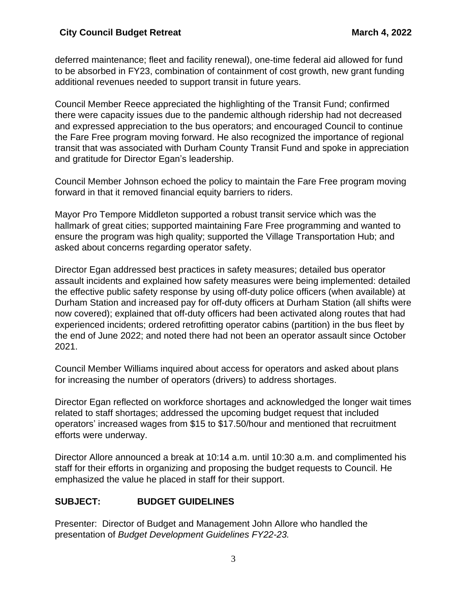deferred maintenance; fleet and facility renewal), one-time federal aid allowed for fund to be absorbed in FY23, combination of containment of cost growth, new grant funding additional revenues needed to support transit in future years.

Council Member Reece appreciated the highlighting of the Transit Fund; confirmed there were capacity issues due to the pandemic although ridership had not decreased and expressed appreciation to the bus operators; and encouraged Council to continue the Fare Free program moving forward. He also recognized the importance of regional transit that was associated with Durham County Transit Fund and spoke in appreciation and gratitude for Director Egan's leadership.

Council Member Johnson echoed the policy to maintain the Fare Free program moving forward in that it removed financial equity barriers to riders.

Mayor Pro Tempore Middleton supported a robust transit service which was the hallmark of great cities; supported maintaining Fare Free programming and wanted to ensure the program was high quality; supported the Village Transportation Hub; and asked about concerns regarding operator safety.

Director Egan addressed best practices in safety measures; detailed bus operator assault incidents and explained how safety measures were being implemented: detailed the effective public safety response by using off-duty police officers (when available) at Durham Station and increased pay for off-duty officers at Durham Station (all shifts were now covered); explained that off-duty officers had been activated along routes that had experienced incidents; ordered retrofitting operator cabins (partition) in the bus fleet by the end of June 2022; and noted there had not been an operator assault since October 2021.

Council Member Williams inquired about access for operators and asked about plans for increasing the number of operators (drivers) to address shortages.

Director Egan reflected on workforce shortages and acknowledged the longer wait times related to staff shortages; addressed the upcoming budget request that included operators' increased wages from \$15 to \$17.50/hour and mentioned that recruitment efforts were underway.

Director Allore announced a break at 10:14 a.m. until 10:30 a.m. and complimented his staff for their efforts in organizing and proposing the budget requests to Council. He emphasized the value he placed in staff for their support.

## **SUBJECT: BUDGET GUIDELINES**

Presenter: Director of Budget and Management John Allore who handled the presentation of *Budget Development Guidelines FY22-23.*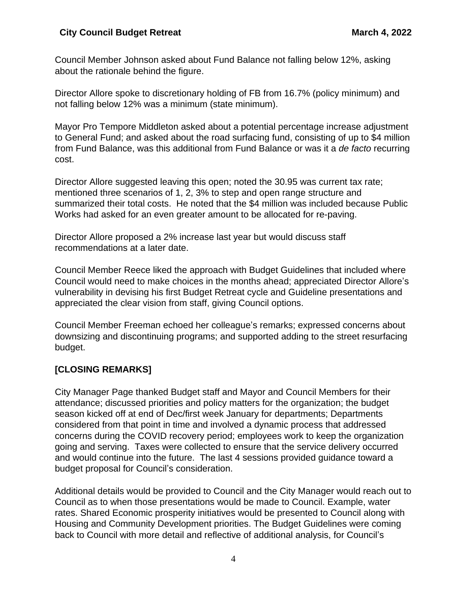Council Member Johnson asked about Fund Balance not falling below 12%, asking about the rationale behind the figure.

Director Allore spoke to discretionary holding of FB from 16.7% (policy minimum) and not falling below 12% was a minimum (state minimum).

Mayor Pro Tempore Middleton asked about a potential percentage increase adjustment to General Fund; and asked about the road surfacing fund, consisting of up to \$4 million from Fund Balance, was this additional from Fund Balance or was it a *de facto* recurring cost.

Director Allore suggested leaving this open; noted the 30.95 was current tax rate; mentioned three scenarios of 1, 2, 3% to step and open range structure and summarized their total costs. He noted that the \$4 million was included because Public Works had asked for an even greater amount to be allocated for re-paving.

Director Allore proposed a 2% increase last year but would discuss staff recommendations at a later date.

Council Member Reece liked the approach with Budget Guidelines that included where Council would need to make choices in the months ahead; appreciated Director Allore's vulnerability in devising his first Budget Retreat cycle and Guideline presentations and appreciated the clear vision from staff, giving Council options.

Council Member Freeman echoed her colleague's remarks; expressed concerns about downsizing and discontinuing programs; and supported adding to the street resurfacing budget.

## **[CLOSING REMARKS]**

City Manager Page thanked Budget staff and Mayor and Council Members for their attendance; discussed priorities and policy matters for the organization; the budget season kicked off at end of Dec/first week January for departments; Departments considered from that point in time and involved a dynamic process that addressed concerns during the COVID recovery period; employees work to keep the organization going and serving. Taxes were collected to ensure that the service delivery occurred and would continue into the future. The last 4 sessions provided guidance toward a budget proposal for Council's consideration.

Additional details would be provided to Council and the City Manager would reach out to Council as to when those presentations would be made to Council. Example, water rates. Shared Economic prosperity initiatives would be presented to Council along with Housing and Community Development priorities. The Budget Guidelines were coming back to Council with more detail and reflective of additional analysis, for Council's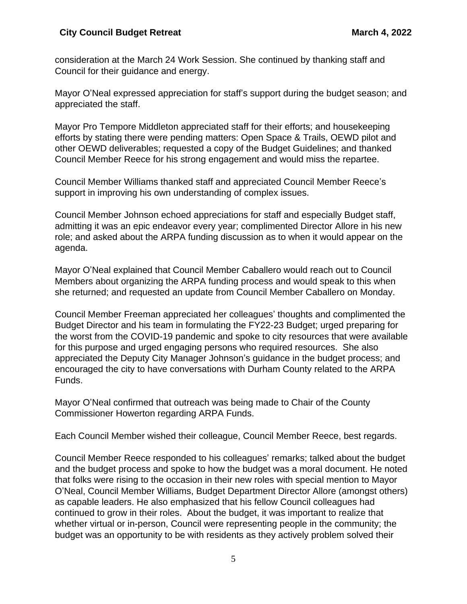consideration at the March 24 Work Session. She continued by thanking staff and Council for their guidance and energy.

Mayor O'Neal expressed appreciation for staff's support during the budget season; and appreciated the staff.

Mayor Pro Tempore Middleton appreciated staff for their efforts; and housekeeping efforts by stating there were pending matters: Open Space & Trails, OEWD pilot and other OEWD deliverables; requested a copy of the Budget Guidelines; and thanked Council Member Reece for his strong engagement and would miss the repartee.

Council Member Williams thanked staff and appreciated Council Member Reece's support in improving his own understanding of complex issues.

Council Member Johnson echoed appreciations for staff and especially Budget staff, admitting it was an epic endeavor every year; complimented Director Allore in his new role; and asked about the ARPA funding discussion as to when it would appear on the agenda.

Mayor O'Neal explained that Council Member Caballero would reach out to Council Members about organizing the ARPA funding process and would speak to this when she returned; and requested an update from Council Member Caballero on Monday.

Council Member Freeman appreciated her colleagues' thoughts and complimented the Budget Director and his team in formulating the FY22-23 Budget; urged preparing for the worst from the COVID-19 pandemic and spoke to city resources that were available for this purpose and urged engaging persons who required resources. She also appreciated the Deputy City Manager Johnson's guidance in the budget process; and encouraged the city to have conversations with Durham County related to the ARPA Funds.

Mayor O'Neal confirmed that outreach was being made to Chair of the County Commissioner Howerton regarding ARPA Funds.

Each Council Member wished their colleague, Council Member Reece, best regards.

Council Member Reece responded to his colleagues' remarks; talked about the budget and the budget process and spoke to how the budget was a moral document. He noted that folks were rising to the occasion in their new roles with special mention to Mayor O'Neal, Council Member Williams, Budget Department Director Allore (amongst others) as capable leaders. He also emphasized that his fellow Council colleagues had continued to grow in their roles. About the budget, it was important to realize that whether virtual or in-person, Council were representing people in the community; the budget was an opportunity to be with residents as they actively problem solved their